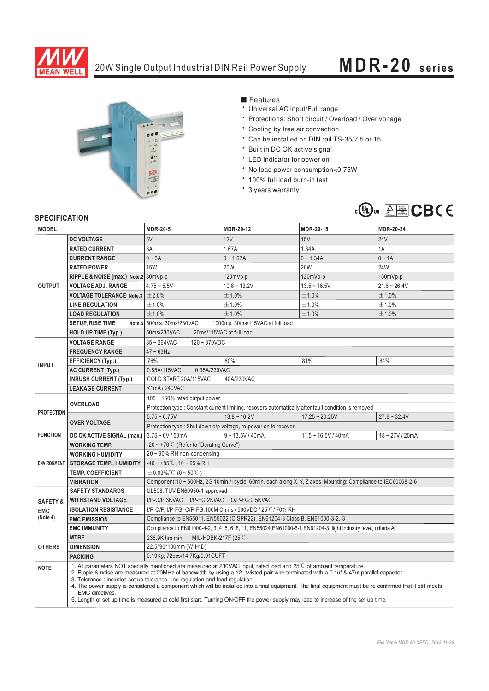

## 20W Single Output Industrial DIN Rail Power Supply **MDR-20 series**



■ Features :

- Universal AC input/Full range
- \* Protections: Short circuit / Overload / Over voltage
- \* Cooling by free air convection
- <sup>6</sup> Can be installed on DIN rail TS-35/7.5 or 15
- \* Built in DC OK active signal
- \* LED indicator for power on
- \* No load power consumption<0.75W
- \* 100% full load burn-in test
- \* 3 years warranty



## **SPECIFICATION**

| ווטו ושאו ווטבו וט<br><b>MODEL</b> |                                                                                                                                                                                                                                                                                                                                                                                                                                                                                                                                                                                                                                                                                             | <b>MDR-20-5</b>                                                                                              | <b>MDR-20-12</b>   | MDR-20-15             | <b>MDR-20-24</b> |
|------------------------------------|---------------------------------------------------------------------------------------------------------------------------------------------------------------------------------------------------------------------------------------------------------------------------------------------------------------------------------------------------------------------------------------------------------------------------------------------------------------------------------------------------------------------------------------------------------------------------------------------------------------------------------------------------------------------------------------------|--------------------------------------------------------------------------------------------------------------|--------------------|-----------------------|------------------|
|                                    | <b>DC VOLTAGE</b>                                                                                                                                                                                                                                                                                                                                                                                                                                                                                                                                                                                                                                                                           | 5V                                                                                                           | 12V                | 15V                   | <b>24V</b>       |
| <b>OUTPUT</b>                      | <b>RATED CURRENT</b>                                                                                                                                                                                                                                                                                                                                                                                                                                                                                                                                                                                                                                                                        | 3A                                                                                                           | 1.67A              | 1.34A                 | 1A               |
|                                    | <b>CURRENT RANGE</b>                                                                                                                                                                                                                                                                                                                                                                                                                                                                                                                                                                                                                                                                        | $0 \sim 3A$                                                                                                  | $0 - 1.67A$        | $0 - 1.34A$           | $0 \sim 1A$      |
|                                    |                                                                                                                                                                                                                                                                                                                                                                                                                                                                                                                                                                                                                                                                                             |                                                                                                              |                    |                       |                  |
|                                    | <b>RATED POWER</b>                                                                                                                                                                                                                                                                                                                                                                                                                                                                                                                                                                                                                                                                          | <b>15W</b>                                                                                                   | <b>20W</b>         | 20W                   | 24W              |
|                                    | RIPPLE & NOISE (max.) Note.2 80mVp-p                                                                                                                                                                                                                                                                                                                                                                                                                                                                                                                                                                                                                                                        |                                                                                                              | 120mVp-p           | 120mVp-p              | 150mVp-p         |
|                                    | <b>VOLTAGE ADJ. RANGE</b>                                                                                                                                                                                                                                                                                                                                                                                                                                                                                                                                                                                                                                                                   | $4.75 - 5.5V$                                                                                                | $10.8 - 13.2V$     | $13.5 - 16.5V$        | $21.6 - 26.4V$   |
|                                    | <b>VOLTAGE TOLERANCE Note.3</b>                                                                                                                                                                                                                                                                                                                                                                                                                                                                                                                                                                                                                                                             | ±2.0%                                                                                                        | ±1.0%              | ±1.0%                 | ±1.0%            |
|                                    | <b>LINE REGULATION</b>                                                                                                                                                                                                                                                                                                                                                                                                                                                                                                                                                                                                                                                                      | ±1.0%                                                                                                        | ±1.0%              | ±1.0%                 | ±1.0%            |
|                                    | <b>LOAD REGULATION</b>                                                                                                                                                                                                                                                                                                                                                                                                                                                                                                                                                                                                                                                                      | ±1.0%                                                                                                        | ±1.0%              | ±1.0%                 | ±1.0%            |
|                                    | <b>SETUP, RISE TIME</b>                                                                                                                                                                                                                                                                                                                                                                                                                                                                                                                                                                                                                                                                     | Note.5 500ms, 30ms/230VAC<br>1000ms, 30ms/115VAC at full load                                                |                    |                       |                  |
|                                    | <b>HOLD UP TIME (Typ.)</b>                                                                                                                                                                                                                                                                                                                                                                                                                                                                                                                                                                                                                                                                  | 50ms/230VAC<br>20ms/115VAC at full load                                                                      |                    |                       |                  |
| <b>INPUT</b>                       | <b>VOLTAGE RANGE</b>                                                                                                                                                                                                                                                                                                                                                                                                                                                                                                                                                                                                                                                                        | 85~264VAC<br>$120 - 370VDC$                                                                                  |                    |                       |                  |
|                                    | <b>FREQUENCY RANGE</b>                                                                                                                                                                                                                                                                                                                                                                                                                                                                                                                                                                                                                                                                      | $47 \sim 63$ Hz                                                                                              |                    |                       |                  |
|                                    | <b>EFFICIENCY (Typ.)</b>                                                                                                                                                                                                                                                                                                                                                                                                                                                                                                                                                                                                                                                                    | 76%                                                                                                          | 80%                | 81%                   | 84%              |
|                                    | <b>AC CURRENT (Typ.)</b>                                                                                                                                                                                                                                                                                                                                                                                                                                                                                                                                                                                                                                                                    | 0.55A/115VAC<br>0.35A/230VAC                                                                                 |                    |                       |                  |
|                                    | <b>INRUSH CURRENT (Typ.)</b>                                                                                                                                                                                                                                                                                                                                                                                                                                                                                                                                                                                                                                                                | 40A/230VAC<br>COLD START 20A/115VAC                                                                          |                    |                       |                  |
|                                    | <b>LEAKAGE CURRENT</b>                                                                                                                                                                                                                                                                                                                                                                                                                                                                                                                                                                                                                                                                      | <1mA/240VAC                                                                                                  |                    |                       |                  |
| <b>PROTECTION</b>                  | <b>OVERLOAD</b>                                                                                                                                                                                                                                                                                                                                                                                                                                                                                                                                                                                                                                                                             | 105 ~ 160% rated output power                                                                                |                    |                       |                  |
|                                    |                                                                                                                                                                                                                                                                                                                                                                                                                                                                                                                                                                                                                                                                                             | Protection type : Constant current limiting, recovers automatically after fault condition is removed         |                    |                       |                  |
|                                    | <b>OVER VOLTAGE</b>                                                                                                                                                                                                                                                                                                                                                                                                                                                                                                                                                                                                                                                                         | $5.75 - 6.75V$                                                                                               | $13.8 - 16.2V$     | $17.25 - 20.25V$      | $27.6 - 32.4V$   |
|                                    |                                                                                                                                                                                                                                                                                                                                                                                                                                                                                                                                                                                                                                                                                             | Protection type: Shut down o/p voltage, re-power on to recover                                               |                    |                       |                  |
| <b>FUNCTION</b>                    | DC OK ACTIVE SIGNAL (max.)                                                                                                                                                                                                                                                                                                                                                                                                                                                                                                                                                                                                                                                                  | $3.75 - 6V / 50mA$                                                                                           | $9 - 13.5V / 40mA$ | $11.5 - 16.5V / 40mA$ | 18~27V/20mA      |
| <b>ENVIRONMENT</b>                 | <b>WORKING TEMP.</b>                                                                                                                                                                                                                                                                                                                                                                                                                                                                                                                                                                                                                                                                        | -20~+70°C (Refer to "Derating Curve")                                                                        |                    |                       |                  |
|                                    | <b>WORKING HUMIDITY</b>                                                                                                                                                                                                                                                                                                                                                                                                                                                                                                                                                                                                                                                                     | 20~90% RH non-condensing                                                                                     |                    |                       |                  |
|                                    | <b>STORAGE TEMP., HUMIDITY</b>                                                                                                                                                                                                                                                                                                                                                                                                                                                                                                                                                                                                                                                              | $-40 \sim +85^{\circ}$ C, 10 ~ 95% RH                                                                        |                    |                       |                  |
|                                    | <b>TEMP. COEFFICIENT</b>                                                                                                                                                                                                                                                                                                                                                                                                                                                                                                                                                                                                                                                                    | $\pm$ 0.03%/°C (0 ~ 50°C)                                                                                    |                    |                       |                  |
|                                    | <b>VIBRATION</b>                                                                                                                                                                                                                                                                                                                                                                                                                                                                                                                                                                                                                                                                            | Component:10 ~ 500Hz, 2G 10min./1cycle, 60min. each along X, Y, Z axes; Mounting: Compliance to IEC60068-2-6 |                    |                       |                  |
|                                    | UL508, TUV EN60950-1 approved<br><b>SAFETY STANDARDS</b>                                                                                                                                                                                                                                                                                                                                                                                                                                                                                                                                                                                                                                    |                                                                                                              |                    |                       |                  |
| <b>SAFETY &amp;</b>                | <b>WITHSTAND VOLTAGE</b>                                                                                                                                                                                                                                                                                                                                                                                                                                                                                                                                                                                                                                                                    | I/P-O/P:3KVAC I/P-FG:2KVAC O/P-FG:0.5KVAC                                                                    |                    |                       |                  |
| <b>EMC</b>                         | I/P-O/P, I/P-FG, O/P-FG:100M Ohms / 500VDC / 25 °C / 70% RH<br><b>ISOLATION RESISTANCE</b>                                                                                                                                                                                                                                                                                                                                                                                                                                                                                                                                                                                                  |                                                                                                              |                    |                       |                  |
| (Note 4)                           | <b>EMC EMISSION</b>                                                                                                                                                                                                                                                                                                                                                                                                                                                                                                                                                                                                                                                                         | Compliance to EN55011, EN55022 (CISPR22), EN61204-3 Class B, EN61000-3-2,-3                                  |                    |                       |                  |
|                                    | Compliance to EN61000-4-2, 3, 4, 5, 6, 8, 11, EN55024, EN61000-6-1, EN61204-3, light industry level, criteria A<br><b>EMC IMMUNITY</b>                                                                                                                                                                                                                                                                                                                                                                                                                                                                                                                                                      |                                                                                                              |                    |                       |                  |
|                                    | <b>MTBF</b>                                                                                                                                                                                                                                                                                                                                                                                                                                                                                                                                                                                                                                                                                 | 236.9K hrs min. MIL-HDBK-217F (25°C)                                                                         |                    |                       |                  |
| <b>OTHERS</b>                      | <b>DIMENSION</b>                                                                                                                                                                                                                                                                                                                                                                                                                                                                                                                                                                                                                                                                            | 22.5*90*100mm (W*H*D)                                                                                        |                    |                       |                  |
|                                    | <b>PACKING</b>                                                                                                                                                                                                                                                                                                                                                                                                                                                                                                                                                                                                                                                                              | 0.19Kg; 72pcs/14.7Kg/0.91CUFT                                                                                |                    |                       |                  |
| <b>NOTE</b>                        | 1. All parameters NOT specially mentioned are measured at 230VAC input, rated load and 25 <sup>°C</sup> of ambient temperature.<br>2. Ripple & noise are measured at 20MHz of bandwidth by using a 12" twisted pair-wire terminated with a 0.1uf & 47uf parallel capacitor.<br>3. Tolerance : includes set up tolerance, line regulation and load regulation.<br>4. The power supply is considered a component which will be installed into a final equipment. The final equipment must be re-confirmed that it still meets<br><b>EMC</b> directives.<br>5. Length of set up time is measured at cold first start. Turning ON/OFF the power supply may lead to increase of the set up time. |                                                                                                              |                    |                       |                  |